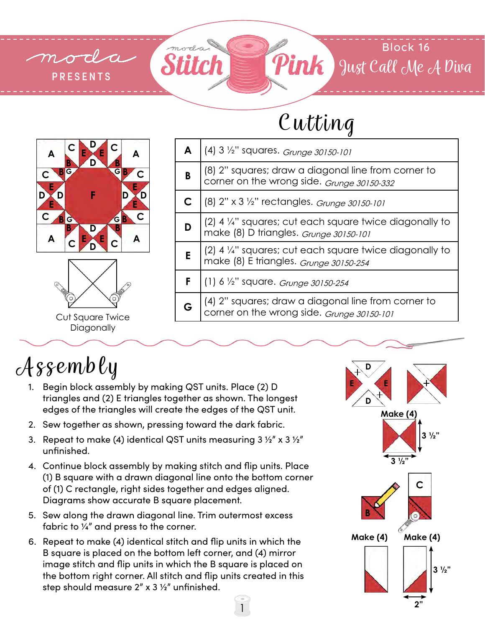

## Cutting



| A | (4) 3 1/2" squares. Grunge 30150-101                                                                           |
|---|----------------------------------------------------------------------------------------------------------------|
| B | (8) 2" squares; draw a diagonal line from corner to<br>corner on the wrong side. Grunge 30150-332              |
| C | (8) 2" x 3 1/2" rectangles. Grunge 30150-101                                                                   |
| D | $(2)$ 4 $\frac{1}{4}$ " squares; cut each square twice diagonally to<br>make (8) D triangles. Grunge 30150-101 |
| E | $(2)$ 4 $\frac{1}{4}$ " squares; cut each square twice diagonally to<br>make (8) E triangles. Grunge 30150-254 |
| F | (1) 6 1/2" square. Grunge 30150-254                                                                            |
| G | (4) 2" squares; draw a diagonal line from corner to<br>corner on the wrong side. Grunge 30150-101              |
|   |                                                                                                                |

## Assembly

- 1. Begin block assembly by making QST units. Place (2) D triangles and (2) E triangles together as shown. The longest edges of the triangles will create the edges of the QST unit.
- 2. Sew together as shown, pressing toward the dark fabric.
- 3. Repeat to make (4) identical QST units measuring  $3\frac{1}{2}$ " x  $3\frac{1}{2}$ " unfinished.
- 4. Continue block assembly by making stitch and flip units. Place (1) B square with a drawn diagonal line onto the bottom corner of (1) C rectangle, right sides together and edges aligned. Diagrams show accurate B square placement.
- 5. Sew along the drawn diagonal line. Trim outermost excess fabric to  $\frac{1}{4}$ " and press to the corner.
- 6. Repeat to make (4) identical stitch and flip units in which the B square is placed on the bottom left corner, and (4) mirror image stitch and flip units in which the B square is placed on the bottom right corner. All stitch and flip units created in this step should measure  $2''$  x 3  $\frac{1}{2}''$  unfinished.

1